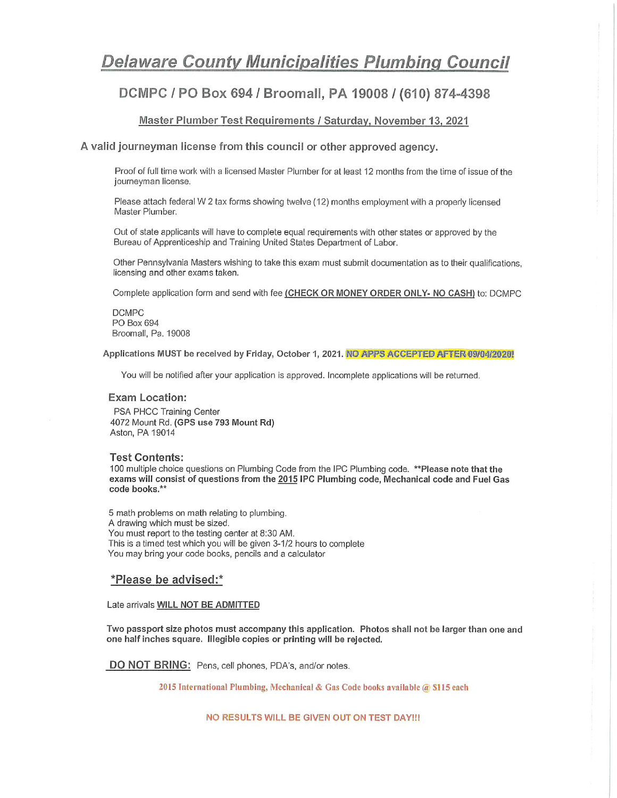## **Delaware County Municipalities Plumbing Council**

### DCMPC / PO Box 694 / Broomall, PA 19008 / (610) 874-4398

#### Master Plumber Test Requirements / Saturday, November 13, 2021

#### A valid journeyman license from this council or other approved agency.

Proof of full time work with a licensed Master Plumber for at least 12 months from the time of issue of the journeyman license.

Please attach federal W 2 tax forms showing twelve (12) months employment with a properly licensed Master Plumber.

Out of state applicants will have to complete equal requirements with other states or approved by the Bureau of Apprenticeship and Training United States Department of Labor.

Other Pennsylvania Masters wishing to take this exam must submit documentation as to their qualifications. licensing and other exams taken.

Complete application form and send with fee (CHECK OR MONEY ORDER ONLY- NO CASH) to: DCMPC

DCMPC PO Box 694 Broomall, Pa. 19008

Applications MUST be received by Friday, October 1, 2021. NO APPS ACCEPTED AFTER 09/04/2020!

You will be notified after your application is approved. Incomplete applications will be returned.

#### **Exam Location:**

PSA PHCC Training Center 4072 Mount Rd. (GPS use 793 Mount Rd) Aston, PA 19014

#### **Test Contents:**

100 multiple choice questions on Plumbing Code from the IPC Plumbing code, \*\*Please note that the exams will consist of questions from the 2015 IPC Plumbing code, Mechanical code and Fuel Gas code books.\*\*

5 math problems on math relating to plumbing. A drawing which must be sized. You must report to the testing center at 8:30 AM. This is a timed test which you will be given 3-1/2 hours to complete You may bring your code books, pencils and a calculator

#### \*Please be advised:\*

#### Late arrivals WILL NOT BE ADMITTED

Two passport size photos must accompany this application. Photos shall not be larger than one and one half inches square. Illegible copies or printing will be rejected.

DO NOT BRING: Pens, cell phones, PDA's, and/or notes.

2015 International Plumbing, Mechanical & Gas Code books available @ \$115 each

NO RESULTS WILL BE GIVEN OUT ON TEST DAY !!!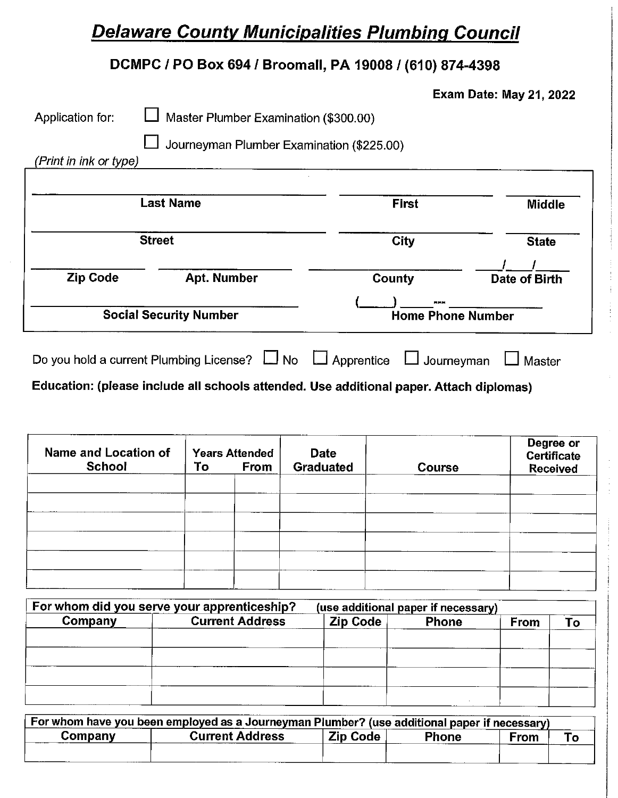# **Delaware County Municipalities Plumbing Council**

### DCMPC / PO Box 694 / Broomall, PA 19008 / (610) 874-4398

|  |  | <b>Exam Date: May 21, 2022</b> |  |
|--|--|--------------------------------|--|
|--|--|--------------------------------|--|

| Application for:       | Master Plumber Examination (\$300.00)         |                                        |                      |
|------------------------|-----------------------------------------------|----------------------------------------|----------------------|
|                        | Journeyman Plumber Examination (\$225.00)     |                                        |                      |
| (Print in ink or type) |                                               |                                        |                      |
|                        |                                               |                                        |                      |
|                        | <b>Last Name</b>                              | <b>First</b>                           | <b>Middle</b>        |
|                        |                                               |                                        |                      |
|                        | <b>Street</b>                                 | City                                   | <b>State</b>         |
| <b>Zip Code</b>        | <b>Apt. Number</b>                            | County                                 | <b>Date of Birth</b> |
|                        |                                               |                                        |                      |
|                        | <b>Social Security Number</b>                 | <b>Home Phone Number</b>               |                      |
|                        | Do you hold a current Plumbing License? LJ No | $\Box$ Apprentice<br>$\Box$ Journeyman | Master               |

Education: (please include all schools attended. Use additional paper. Attach diplomas)

| Name and Location of<br><b>School</b> | To | <b>Years Attended</b><br>From | <b>Date</b><br>Graduated | <b>Course</b> | Degree or<br>Certificate<br><b>Received</b> |
|---------------------------------------|----|-------------------------------|--------------------------|---------------|---------------------------------------------|
|                                       |    |                               |                          |               |                                             |
|                                       |    |                               |                          |               |                                             |
|                                       |    |                               |                          |               |                                             |
|                                       |    |                               |                          |               |                                             |

|         | For whom did you serve your apprenticeship? |          | (use additional paper if necessary) |      |    |
|---------|---------------------------------------------|----------|-------------------------------------|------|----|
| Company | <b>Current Address</b>                      | Zip Code | <b>Phone</b>                        | From | Гο |
|         |                                             |          |                                     |      |    |
|         |                                             |          |                                     |      |    |
|         |                                             |          |                                     |      |    |
|         |                                             |          |                                     |      |    |
|         |                                             |          |                                     |      |    |

| For whom have you been employed as a Journeyman Plumber? (use additional paper if necessary) |                        |                 |              |      |  |
|----------------------------------------------------------------------------------------------|------------------------|-----------------|--------------|------|--|
| Companv                                                                                      | <b>Current Address</b> | <b>Zip Code</b> | <b>Phone</b> | From |  |
|                                                                                              |                        |                 |              |      |  |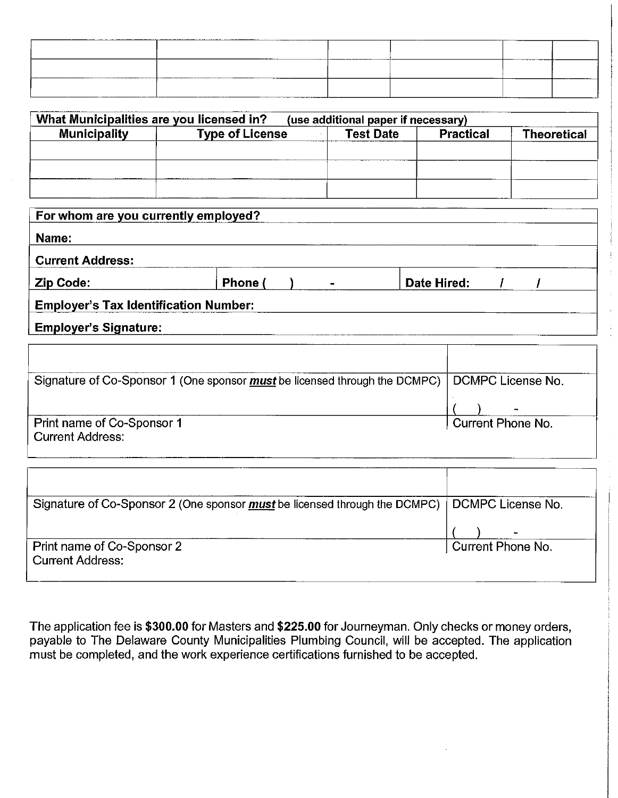|         | ----  |            |
|---------|-------|------------|
|         |       |            |
|         |       |            |
|         |       |            |
|         |       |            |
| _______ |       |            |
|         |       |            |
|         |       |            |
|         |       |            |
| _______ | _____ | ---<br>___ |
|         |       |            |
|         |       |            |
|         |       |            |
|         |       |            |

| What Municipalities are you licensed in? |                        | (use additional paper if necessary) |                  |                    |
|------------------------------------------|------------------------|-------------------------------------|------------------|--------------------|
| <b>Municipality</b>                      | <b>Type of License</b> | <b>Test Date</b>                    | <b>Practical</b> | <b>Theoretical</b> |
|                                          |                        |                                     |                  |                    |
|                                          |                        |                                     |                  |                    |
|                                          |                        |                                     |                  |                    |
|                                          |                        |                                     |                  |                    |

| For whom are you currently employed?         |         |                |             |  |  |
|----------------------------------------------|---------|----------------|-------------|--|--|
| Name:                                        |         |                |             |  |  |
| <b>Current Address:</b>                      |         |                |             |  |  |
| <b>Zip Code:</b>                             | Phone ( | $\blacksquare$ | Date Hired: |  |  |
| <b>Employer's Tax Identification Number:</b> |         |                |             |  |  |
| <b>Employer's Signature:</b>                 |         |                |             |  |  |

| Signature of Co-Sponsor 1 (One sponsor <i>must</i> be licensed through the DCMPC) DCMPC License No. |                   |
|-----------------------------------------------------------------------------------------------------|-------------------|
|                                                                                                     |                   |
| Print name of Co-Sponsor 1<br><b>Current Address:</b>                                               | Current Phone No. |

| Signature of Co-Sponsor 2 (One sponsor <i>must</i> be licensed through the DCMPC)   DCMPC License No. |                   |
|-------------------------------------------------------------------------------------------------------|-------------------|
| Print name of Co-Sponsor 2<br><b>Current Address:</b>                                                 | Current Phone No. |

The application fee is \$300.00 for Masters and \$225.00 for Journeyman. Only checks or money orders, payable to The Delaware County Municipalities Plumbing Council, will be accepted. The application must be completed, and the work experience certifications furnished to be accepted.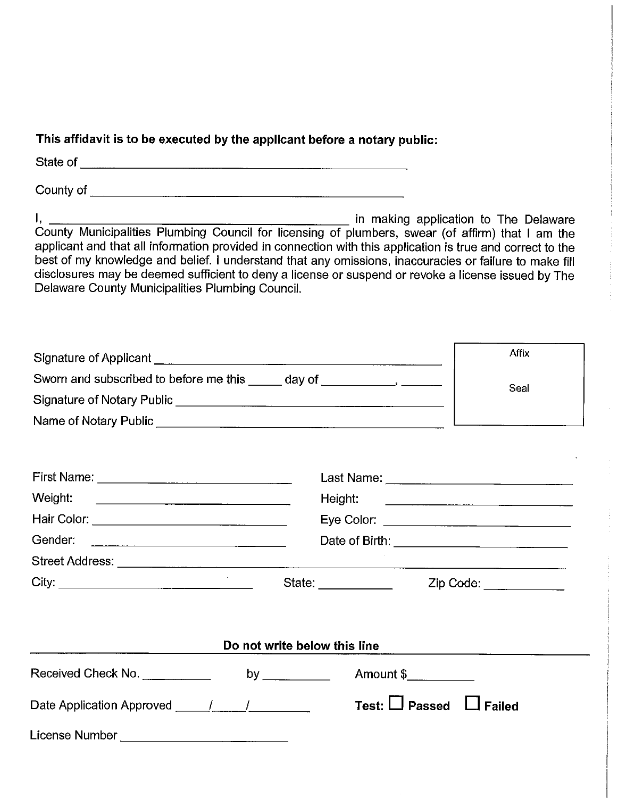### This affidavit is to be executed by the applicant before a notary public:

applicant and that all information provided in connection with this application is true and correct to the best of my knowledge and belief. I understand that any omissions, inaccuracies or failure to make fill disclosures may be deemed sufficient to deny a license or suspend or revoke a license issued by The Delaware County Municipalities Plumbing Council.

|                                                                                                                                                                                                                                     | Affix                        |                                           |  |
|-------------------------------------------------------------------------------------------------------------------------------------------------------------------------------------------------------------------------------------|------------------------------|-------------------------------------------|--|
| Sworn and subscribed to before me this _____ day of _____________________________                                                                                                                                                   | Seal                         |                                           |  |
|                                                                                                                                                                                                                                     |                              |                                           |  |
| Name of Notary Public <u>Communications</u> and Contract Contract Contract Contract Contract Contract Contract Contract Contract Contract Contract Contract Contract Contract Contract Contract Contract Contract Contract Contract |                              |                                           |  |
|                                                                                                                                                                                                                                     |                              |                                           |  |
|                                                                                                                                                                                                                                     |                              |                                           |  |
| Weight:                                                                                                                                                                                                                             |                              |                                           |  |
| Hair Color: __________________________________                                                                                                                                                                                      |                              |                                           |  |
|                                                                                                                                                                                                                                     |                              |                                           |  |
|                                                                                                                                                                                                                                     |                              |                                           |  |
|                                                                                                                                                                                                                                     |                              | Zip Code: ___________                     |  |
|                                                                                                                                                                                                                                     |                              |                                           |  |
|                                                                                                                                                                                                                                     | Do not write below this line |                                           |  |
|                                                                                                                                                                                                                                     |                              |                                           |  |
| Received Check No. ___________                                                                                                                                                                                                      | by $\overline{\phantom{a}}$  | Amount \$                                 |  |
|                                                                                                                                                                                                                                     |                              | Test: $\bigsqcup$ Passed<br><b>Failed</b> |  |
| License Number ____________________________                                                                                                                                                                                         |                              |                                           |  |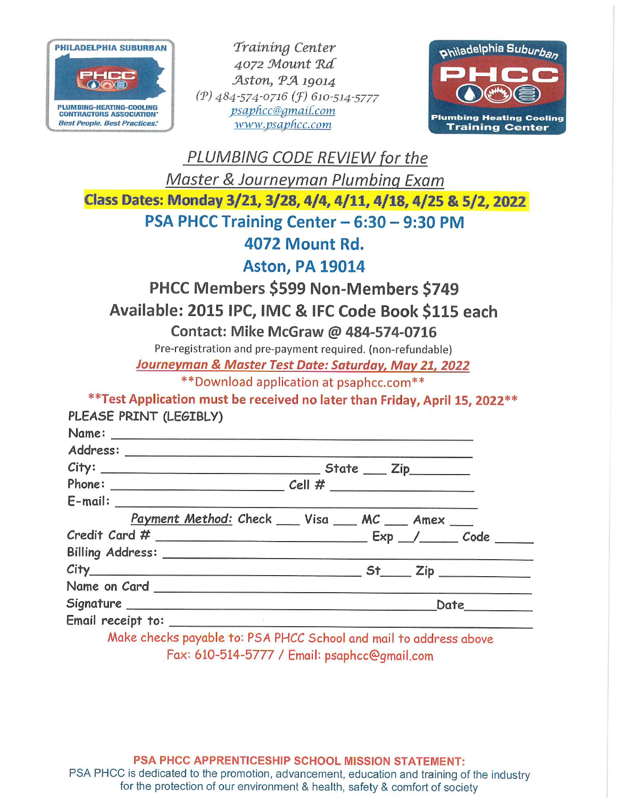

Training Center 4072 Mount Rd Aston, PA 19014 (P) 484-574-0716 (F) 610-514-5777 psaphcc@gmail.com www.psaphcc.com



| PLUMBING CODE REVIEW for the                                                 |
|------------------------------------------------------------------------------|
| Master & Journeyman Plumbing Exam                                            |
| Class Dates: Monday 3/21, 3/28, 4/4, 4/11, 4/18, 4/25 & 5/2, 2022            |
| PSA PHCC Training Center - 6:30 - 9:30 PM                                    |
| <b>4072 Mount Rd.</b>                                                        |
| <b>Aston, PA 19014</b>                                                       |
| <b>PHCC Members \$599 Non-Members \$749</b>                                  |
| Available: 2015 IPC, IMC & IFC Code Book \$115 each                          |
| Contact: Mike McGraw @ 484-574-0716                                          |
| Pre-registration and pre-payment required. (non-refundable)                  |
| Journeyman & Master Test Date: Saturday, May 21, 2022                        |
| ** Download application at psaphcc.com**                                     |
| ** Test Application must be received no later than Friday, April 15, 2022 ** |
| PLEASE PRINT (LEGIBLY)                                                       |
|                                                                              |
|                                                                              |
|                                                                              |
|                                                                              |
|                                                                              |
| Payment Method: Check ___ Visa ___ MC ___ Amex ___                           |
|                                                                              |
|                                                                              |
|                                                                              |
|                                                                              |
|                                                                              |
|                                                                              |
| Make abooks noveble to: BCA BLICC Caheel and meil to address theme           |

Make checks payable to: PSA PHCC School and mail to address above Fax: 610-514-5777 / Email: psaphcc@gmail.com

PSA PHCC APPRENTICESHIP SCHOOL MISSION STATEMENT: PSA PHCC is dedicated to the promotion, advancement, education and training of the industry for the protection of our environment & health, safety & comfort of society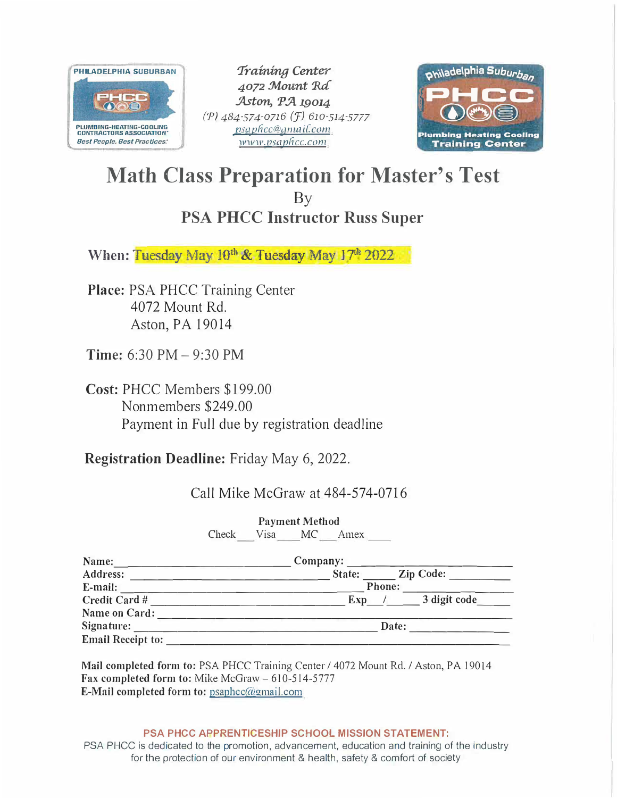

*Training Center 4072 !Mount 'Ra .'Aston, P ..'A. 19014 (P) 484-574-0716 (F) 610-514-5777 psqpfrcc<w9ma i[conr www.psqpficc.com* 



## **Math Class Preparation for Master's Test**  By **PSA PHCC Instructor Russ Super**

When: Tuesday May 10<sup>th</sup> & Tuesday May 17<sup>th</sup> 2022

**Place:** PSA PHCC Training Center 4072 Mount Rd. Aston, PA 19014

**Time:** 6:30 PM - 9:30 PM

**Cost:** PHCC Members \$199.00 Nonmembers \$249.00 Payment in Full due by registration deadline

**Registration Deadline:** Friday May 6, 2022.

Call Mike McGraw at 484-574-0716

**Payment Method**  Check Visa MC Amex

| Name:                    | Company:                   |  |  |
|--------------------------|----------------------------|--|--|
| Address:                 | <b>Zip Code:</b><br>State: |  |  |
| E-mail:                  | Phone:                     |  |  |
| Credit Card #            | 3 digit code<br><b>Exp</b> |  |  |
| Name on Card:            |                            |  |  |
| Signature:               | Date:                      |  |  |
| <b>Email Receipt to:</b> |                            |  |  |

**Mail completed form to:** PSA PHCC Training Center/ 4072 Mount Rd./ Aston, PA 19014 Fax **completed form to:** Mike McGraw - 610-514-5777 **E-Mail completed form to:** psaphcc@!!mail.com

**PSA PHCC APPRENTICESHIP SCHOOL MISSION STATEMENT:** 

PSA PHCC is dedicated to the promotion, advancement, education and training of the industry for the protection of our environment & health, safety & comfort of society